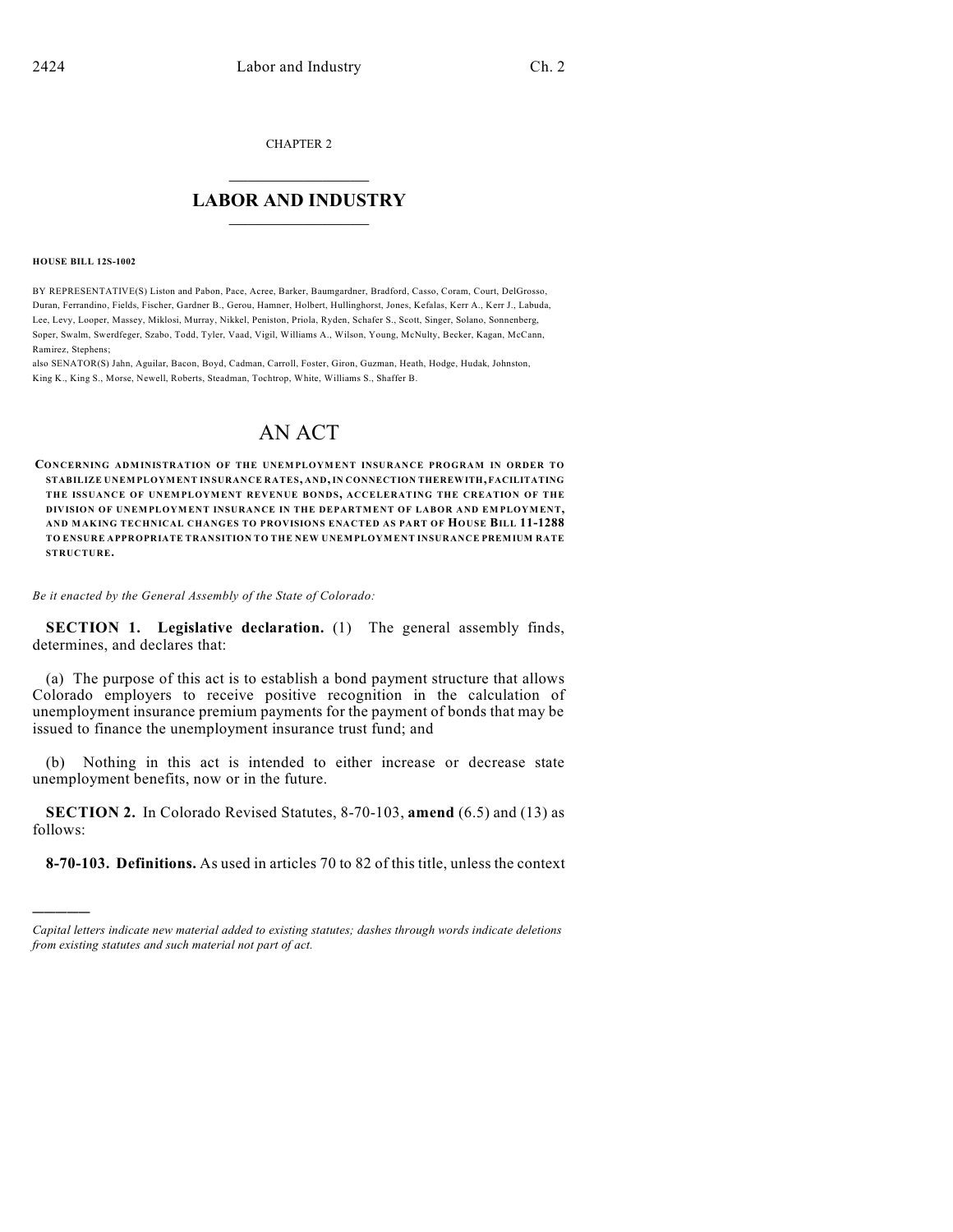CHAPTER 2

## $\mathcal{L}_\text{max}$  . The set of the set of the set of the set of the set of the set of the set of the set of the set of the set of the set of the set of the set of the set of the set of the set of the set of the set of the set **LABOR AND INDUSTRY**  $\frac{1}{\sqrt{2}}$  ,  $\frac{1}{\sqrt{2}}$  ,  $\frac{1}{\sqrt{2}}$  ,  $\frac{1}{\sqrt{2}}$  ,  $\frac{1}{\sqrt{2}}$  ,  $\frac{1}{\sqrt{2}}$

#### **HOUSE BILL 12S-1002**

)))))

BY REPRESENTATIVE(S) Liston and Pabon, Pace, Acree, Barker, Baumgardner, Bradford, Casso, Coram, Court, DelGrosso, Duran, Ferrandino, Fields, Fischer, Gardner B., Gerou, Hamner, Holbert, Hullinghorst, Jones, Kefalas, Kerr A., Kerr J., Labuda, Lee, Levy, Looper, Massey, Miklosi, Murray, Nikkel, Peniston, Priola, Ryden, Schafer S., Scott, Singer, Solano, Sonnenberg, Soper, Swalm, Swerdfeger, Szabo, Todd, Tyler, Vaad, Vigil, Williams A., Wilson, Young, McNulty, Becker, Kagan, McCann, Ramirez, Stephens;

also SENATOR(S) Jahn, Aguilar, Bacon, Boyd, Cadman, Carroll, Foster, Giron, Guzman, Heath, Hodge, Hudak, Johnston, King K., King S., Morse, Newell, Roberts, Steadman, Tochtrop, White, Williams S., Shaffer B.

# AN ACT

**CONCERNING ADMINISTRATION OF THE UNEMPLOYMENT INSURANCE PROGRAM IN ORDER TO STABILIZE UNEMPLOYMENT INSURANCE RATES, AND,IN CONNECTION THEREWITH, FACILITATING THE ISSUANCE OF UNEMPLOYMENT REVENUE BONDS, ACCELERATING THE CREATION OF THE DIVISION OF UNEMPLOYMENT INSURANCE IN THE DEPARTMENT OF LABOR AND EM PLOYMENT, AND MAKING TECHNICAL CHANGES TO PROVISIONS ENACTED AS PART OF HOUSE BILL 11-1288 TO ENSURE APPROPRIATE TRANSITION TO THE NEW UNEMPLOYMENT INSURANCE PREMIUM RATE STRUCTURE.**

*Be it enacted by the General Assembly of the State of Colorado:*

**SECTION 1. Legislative declaration.** (1) The general assembly finds, determines, and declares that:

(a) The purpose of this act is to establish a bond payment structure that allows Colorado employers to receive positive recognition in the calculation of unemployment insurance premium payments for the payment of bonds that may be issued to finance the unemployment insurance trust fund; and

(b) Nothing in this act is intended to either increase or decrease state unemployment benefits, now or in the future.

**SECTION 2.** In Colorado Revised Statutes, 8-70-103, **amend** (6.5) and (13) as follows:

**8-70-103. Definitions.** As used in articles 70 to 82 of this title, unless the context

*Capital letters indicate new material added to existing statutes; dashes through words indicate deletions from existing statutes and such material not part of act.*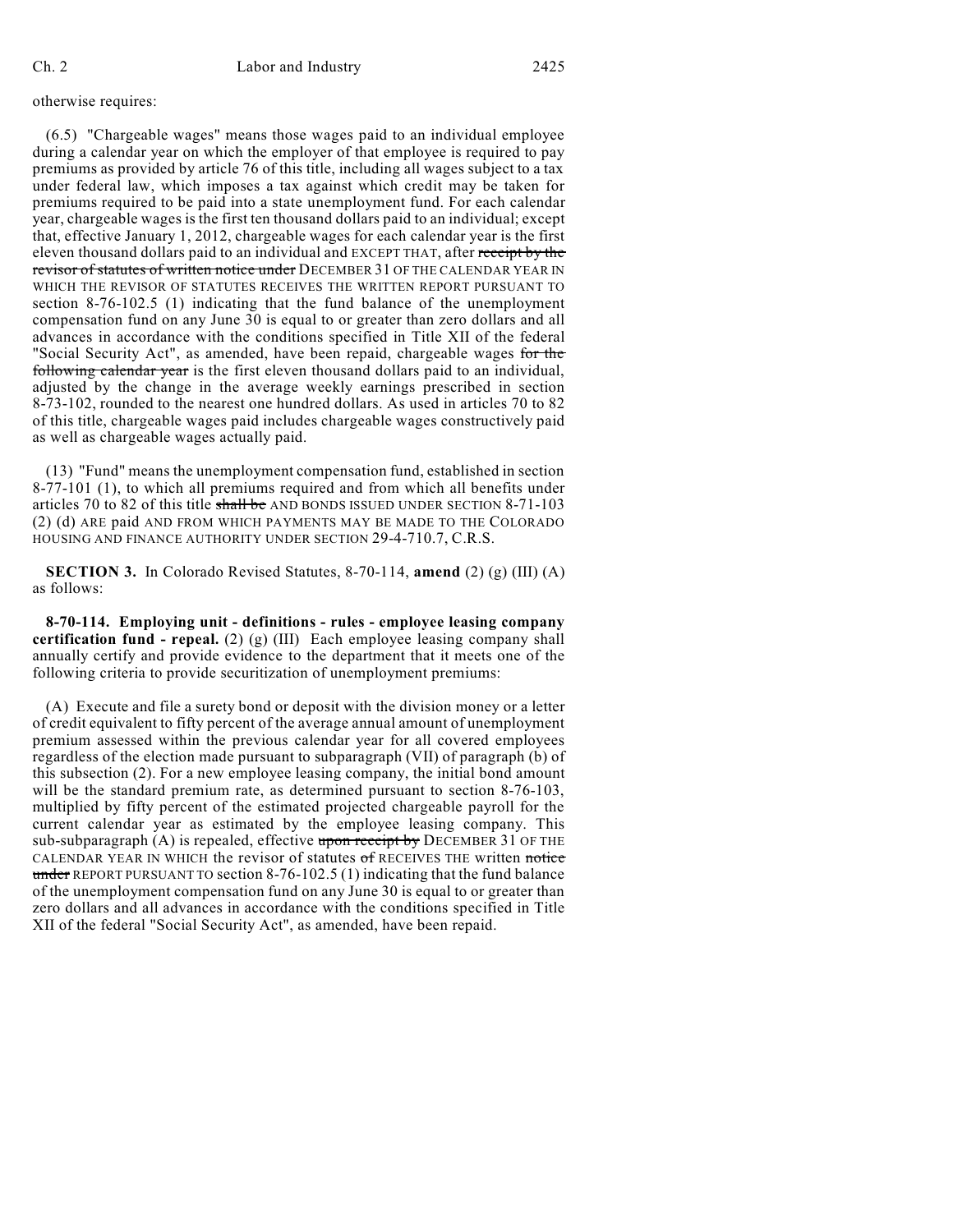otherwise requires:

(6.5) "Chargeable wages" means those wages paid to an individual employee during a calendar year on which the employer of that employee is required to pay premiums as provided by article 76 of this title, including all wages subject to a tax under federal law, which imposes a tax against which credit may be taken for premiums required to be paid into a state unemployment fund. For each calendar year, chargeable wages is the first ten thousand dollars paid to an individual; except that, effective January 1, 2012, chargeable wages for each calendar year is the first eleven thousand dollars paid to an individual and EXCEPT THAT, after receipt by the revisor of statutes of written notice under DECEMBER 31 OF THE CALENDAR YEAR IN WHICH THE REVISOR OF STATUTES RECEIVES THE WRITTEN REPORT PURSUANT TO section 8-76-102.5 (1) indicating that the fund balance of the unemployment compensation fund on any June 30 is equal to or greater than zero dollars and all advances in accordance with the conditions specified in Title XII of the federal "Social Security Act", as amended, have been repaid, chargeable wages for the following calendar year is the first eleven thousand dollars paid to an individual, adjusted by the change in the average weekly earnings prescribed in section 8-73-102, rounded to the nearest one hundred dollars. As used in articles 70 to 82 of this title, chargeable wages paid includes chargeable wages constructively paid as well as chargeable wages actually paid.

(13) "Fund" means the unemployment compensation fund, established in section 8-77-101 (1), to which all premiums required and from which all benefits under articles 70 to 82 of this title shall be AND BONDS ISSUED UNDER SECTION 8-71-103 (2) (d) ARE paid AND FROM WHICH PAYMENTS MAY BE MADE TO THE COLORADO HOUSING AND FINANCE AUTHORITY UNDER SECTION 29-4-710.7, C.R.S.

**SECTION 3.** In Colorado Revised Statutes, 8-70-114, **amend** (2) (g) (III) (A) as follows:

**8-70-114. Employing unit - definitions - rules - employee leasing company certification fund - repeal.** (2) (g) (III) Each employee leasing company shall annually certify and provide evidence to the department that it meets one of the following criteria to provide securitization of unemployment premiums:

(A) Execute and file a surety bond or deposit with the division money or a letter of credit equivalent to fifty percent of the average annual amount of unemployment premium assessed within the previous calendar year for all covered employees regardless of the election made pursuant to subparagraph (VII) of paragraph (b) of this subsection (2). For a new employee leasing company, the initial bond amount will be the standard premium rate, as determined pursuant to section 8-76-103, multiplied by fifty percent of the estimated projected chargeable payroll for the current calendar year as estimated by the employee leasing company. This sub-subparagraph  $(A)$  is repealed, effective upon receipt by DECEMBER 31 OF THE CALENDAR YEAR IN WHICH the revisor of statutes of RECEIVES THE written notice under REPORT PURSUANT TO section  $8-76-102.5$  (1) indicating that the fund balance of the unemployment compensation fund on any June 30 is equal to or greater than zero dollars and all advances in accordance with the conditions specified in Title XII of the federal "Social Security Act", as amended, have been repaid.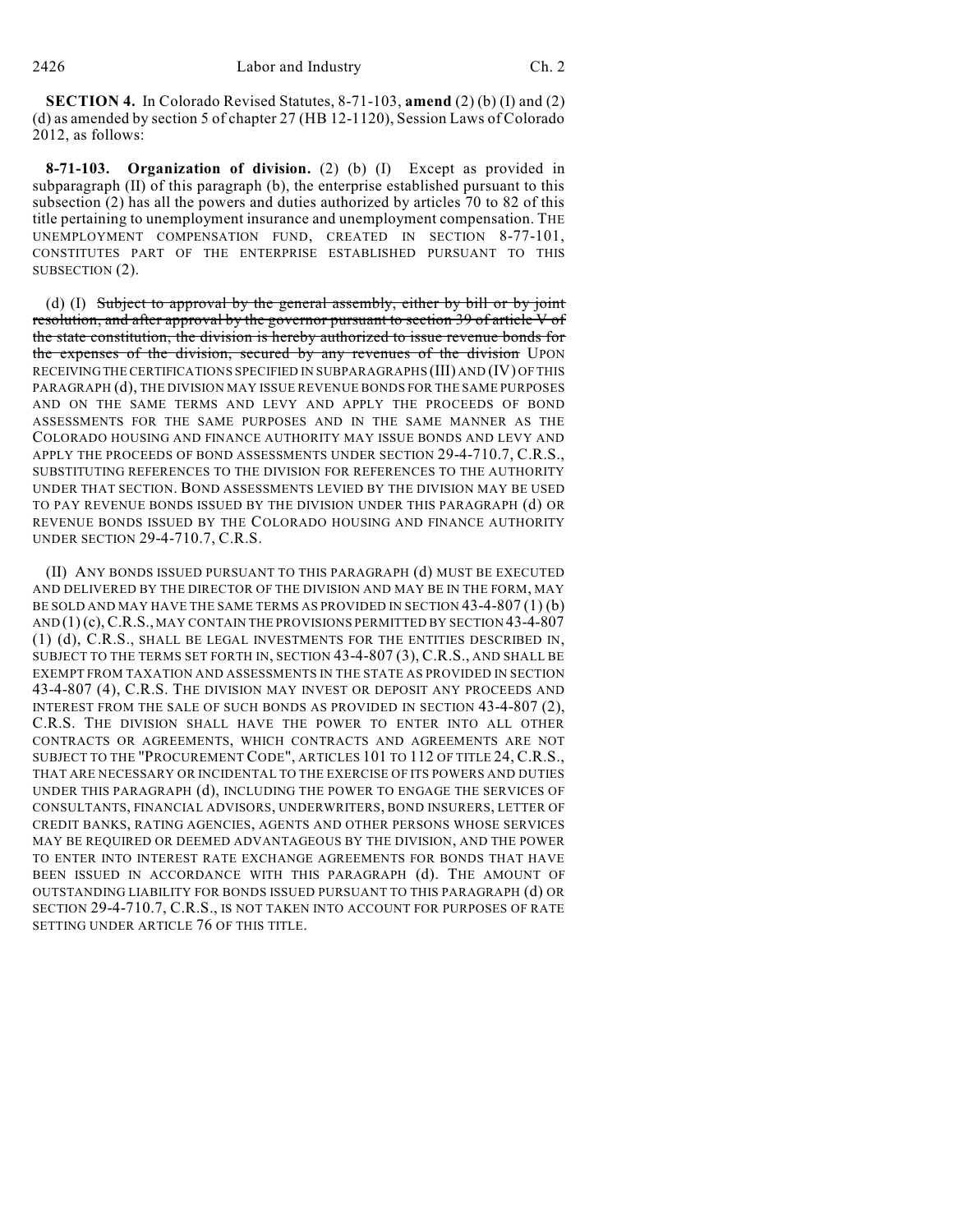**SECTION 4.** In Colorado Revised Statutes, 8-71-103, **amend** (2) (b) (I) and (2) (d) as amended by section 5 of chapter 27 (HB 12-1120), Session Laws of Colorado 2012, as follows:

**8-71-103. Organization of division.** (2) (b) (I) Except as provided in subparagraph (II) of this paragraph (b), the enterprise established pursuant to this subsection (2) has all the powers and duties authorized by articles 70 to 82 of this title pertaining to unemployment insurance and unemployment compensation. THE UNEMPLOYMENT COMPENSATION FUND, CREATED IN SECTION 8-77-101, CONSTITUTES PART OF THE ENTERPRISE ESTABLISHED PURSUANT TO THIS SUBSECTION (2).

(d) (I) Subject to approval by the general assembly, either by bill or by joint resolution, and after approval by the governor pursuant to section 39 of article V of the state constitution, the division is hereby authorized to issue revenue bonds for the expenses of the division, secured by any revenues of the division UPON RECEIVINGTHE CERTIFICATIONS SPECIFIED IN SUBPARAGRAPHS (III) AND (IV) OF THIS PARAGRAPH (d), THE DIVISION MAY ISSUE REVENUE BONDS FOR THE SAME PURPOSES AND ON THE SAME TERMS AND LEVY AND APPLY THE PROCEEDS OF BOND ASSESSMENTS FOR THE SAME PURPOSES AND IN THE SAME MANNER AS THE COLORADO HOUSING AND FINANCE AUTHORITY MAY ISSUE BONDS AND LEVY AND APPLY THE PROCEEDS OF BOND ASSESSMENTS UNDER SECTION 29-4-710.7, C.R.S., SUBSTITUTING REFERENCES TO THE DIVISION FOR REFERENCES TO THE AUTHORITY UNDER THAT SECTION. BOND ASSESSMENTS LEVIED BY THE DIVISION MAY BE USED TO PAY REVENUE BONDS ISSUED BY THE DIVISION UNDER THIS PARAGRAPH (d) OR REVENUE BONDS ISSUED BY THE COLORADO HOUSING AND FINANCE AUTHORITY UNDER SECTION 29-4-710.7, C.R.S.

(II) ANY BONDS ISSUED PURSUANT TO THIS PARAGRAPH (d) MUST BE EXECUTED AND DELIVERED BY THE DIRECTOR OF THE DIVISION AND MAY BE IN THE FORM, MAY BE SOLD AND MAY HAVE THE SAME TERMS AS PROVIDED IN SECTION 43-4-807 (1) (b) AND (1) (c), C.R.S., MAY CONTAIN THE PROVISIONS PERMITTED BY SECTION 43-4-807 (1) (d), C.R.S., SHALL BE LEGAL INVESTMENTS FOR THE ENTITIES DESCRIBED IN, SUBJECT TO THE TERMS SET FORTH IN, SECTION 43-4-807 (3), C.R.S., AND SHALL BE EXEMPT FROM TAXATION AND ASSESSMENTS IN THE STATE AS PROVIDED IN SECTION 43-4-807 (4), C.R.S. THE DIVISION MAY INVEST OR DEPOSIT ANY PROCEEDS AND INTEREST FROM THE SALE OF SUCH BONDS AS PROVIDED IN SECTION 43-4-807 (2), C.R.S. THE DIVISION SHALL HAVE THE POWER TO ENTER INTO ALL OTHER CONTRACTS OR AGREEMENTS, WHICH CONTRACTS AND AGREEMENTS ARE NOT SUBJECT TO THE "PROCUREMENT CODE", ARTICLES 101 TO 112 OF TITLE 24, C.R.S., THAT ARE NECESSARY OR INCIDENTAL TO THE EXERCISE OF ITS POWERS AND DUTIES UNDER THIS PARAGRAPH (d), INCLUDING THE POWER TO ENGAGE THE SERVICES OF CONSULTANTS, FINANCIAL ADVISORS, UNDERWRITERS, BOND INSURERS, LETTER OF CREDIT BANKS, RATING AGENCIES, AGENTS AND OTHER PERSONS WHOSE SERVICES MAY BE REQUIRED OR DEEMED ADVANTAGEOUS BY THE DIVISION, AND THE POWER TO ENTER INTO INTEREST RATE EXCHANGE AGREEMENTS FOR BONDS THAT HAVE BEEN ISSUED IN ACCORDANCE WITH THIS PARAGRAPH (d). THE AMOUNT OF OUTSTANDING LIABILITY FOR BONDS ISSUED PURSUANT TO THIS PARAGRAPH (d) OR SECTION 29-4-710.7, C.R.S., IS NOT TAKEN INTO ACCOUNT FOR PURPOSES OF RATE SETTING UNDER ARTICLE 76 OF THIS TITLE.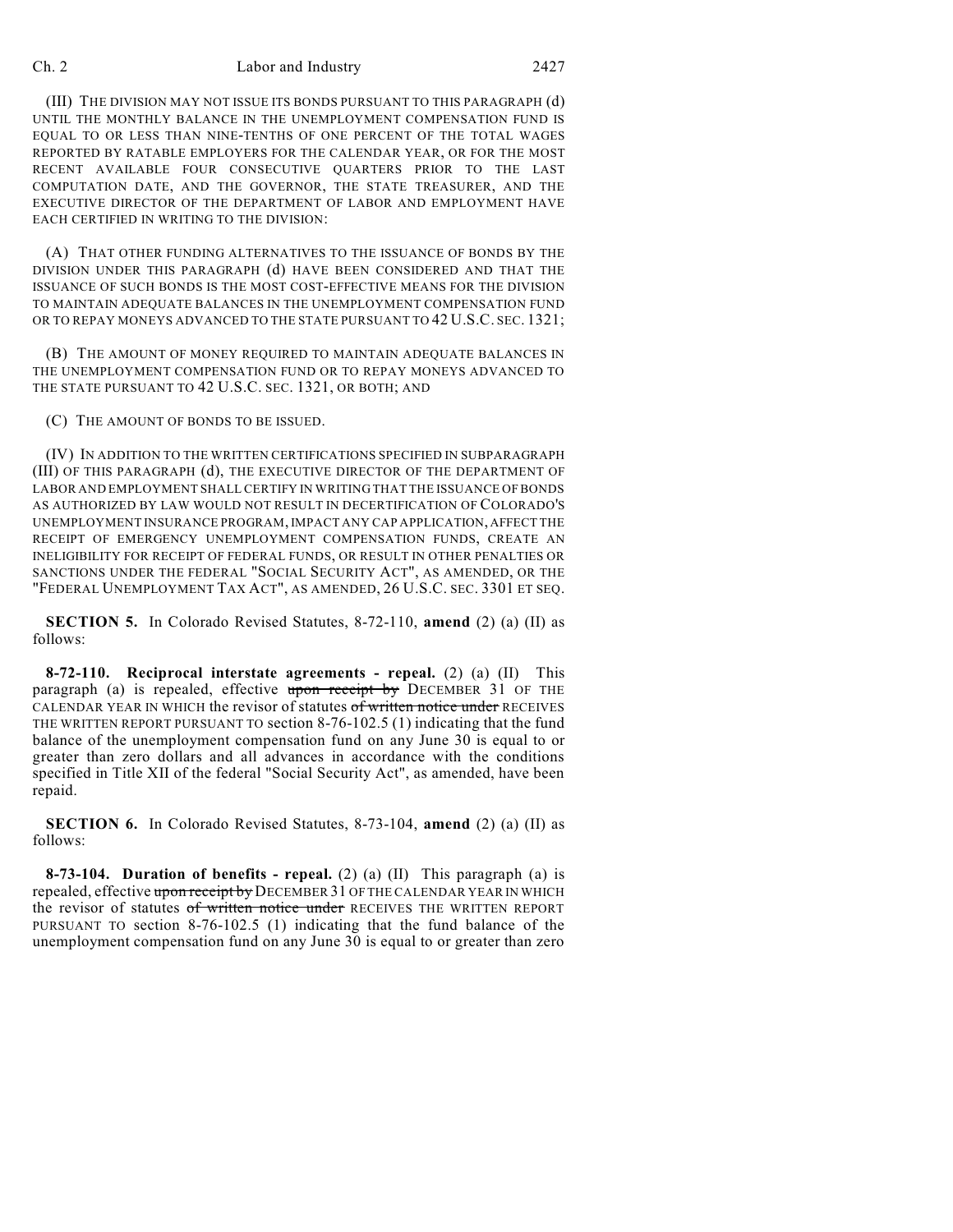#### Ch. 2 Labor and Industry 2427

(III) THE DIVISION MAY NOT ISSUE ITS BONDS PURSUANT TO THIS PARAGRAPH (d) UNTIL THE MONTHLY BALANCE IN THE UNEMPLOYMENT COMPENSATION FUND IS EQUAL TO OR LESS THAN NINE-TENTHS OF ONE PERCENT OF THE TOTAL WAGES REPORTED BY RATABLE EMPLOYERS FOR THE CALENDAR YEAR, OR FOR THE MOST RECENT AVAILABLE FOUR CONSECUTIVE QUARTERS PRIOR TO THE LAST COMPUTATION DATE, AND THE GOVERNOR, THE STATE TREASURER, AND THE EXECUTIVE DIRECTOR OF THE DEPARTMENT OF LABOR AND EMPLOYMENT HAVE EACH CERTIFIED IN WRITING TO THE DIVISION:

(A) THAT OTHER FUNDING ALTERNATIVES TO THE ISSUANCE OF BONDS BY THE DIVISION UNDER THIS PARAGRAPH (d) HAVE BEEN CONSIDERED AND THAT THE ISSUANCE OF SUCH BONDS IS THE MOST COST-EFFECTIVE MEANS FOR THE DIVISION TO MAINTAIN ADEQUATE BALANCES IN THE UNEMPLOYMENT COMPENSATION FUND OR TO REPAY MONEYS ADVANCED TO THE STATE PURSUANT TO 42 U.S.C. SEC. 1321;

(B) THE AMOUNT OF MONEY REQUIRED TO MAINTAIN ADEQUATE BALANCES IN THE UNEMPLOYMENT COMPENSATION FUND OR TO REPAY MONEYS ADVANCED TO THE STATE PURSUANT TO 42 U.S.C. SEC. 1321, OR BOTH; AND

(C) THE AMOUNT OF BONDS TO BE ISSUED.

(IV) IN ADDITION TO THE WRITTEN CERTIFICATIONS SPECIFIED IN SUBPARAGRAPH (III) OF THIS PARAGRAPH (d), THE EXECUTIVE DIRECTOR OF THE DEPARTMENT OF LABOR AND EMPLOYMENT SHALL CERTIFY IN WRITING THAT THE ISSUANCE OF BONDS AS AUTHORIZED BY LAW WOULD NOT RESULT IN DECERTIFICATION OF COLORADO'S UNEMPLOYMENT INSURANCE PROGRAM, IMPACT ANY CAP APPLICATION, AFFECT THE RECEIPT OF EMERGENCY UNEMPLOYMENT COMPENSATION FUNDS, CREATE AN INELIGIBILITY FOR RECEIPT OF FEDERAL FUNDS, OR RESULT IN OTHER PENALTIES OR SANCTIONS UNDER THE FEDERAL "SOCIAL SECURITY ACT", AS AMENDED, OR THE "FEDERAL UNEMPLOYMENT TAX ACT", AS AMENDED, 26 U.S.C. SEC. 3301 ET SEQ.

**SECTION 5.** In Colorado Revised Statutes, 8-72-110, **amend** (2) (a) (II) as follows:

**8-72-110. Reciprocal interstate agreements - repeal.** (2) (a) (II) This paragraph (a) is repealed, effective upon receipt by DECEMBER 31 OF THE CALENDAR YEAR IN WHICH the revisor of statutes of written notice under RECEIVES THE WRITTEN REPORT PURSUANT TO section 8-76-102.5 (1) indicating that the fund balance of the unemployment compensation fund on any June 30 is equal to or greater than zero dollars and all advances in accordance with the conditions specified in Title XII of the federal "Social Security Act", as amended, have been repaid.

**SECTION 6.** In Colorado Revised Statutes, 8-73-104, **amend** (2) (a) (II) as follows:

**8-73-104. Duration of benefits - repeal.** (2) (a) (II) This paragraph (a) is repealed, effective upon receipt by DECEMBER 31 OF THE CALENDAR YEAR IN WHICH the revisor of statutes of written notice under RECEIVES THE WRITTEN REPORT PURSUANT TO section 8-76-102.5 (1) indicating that the fund balance of the unemployment compensation fund on any June 30 is equal to or greater than zero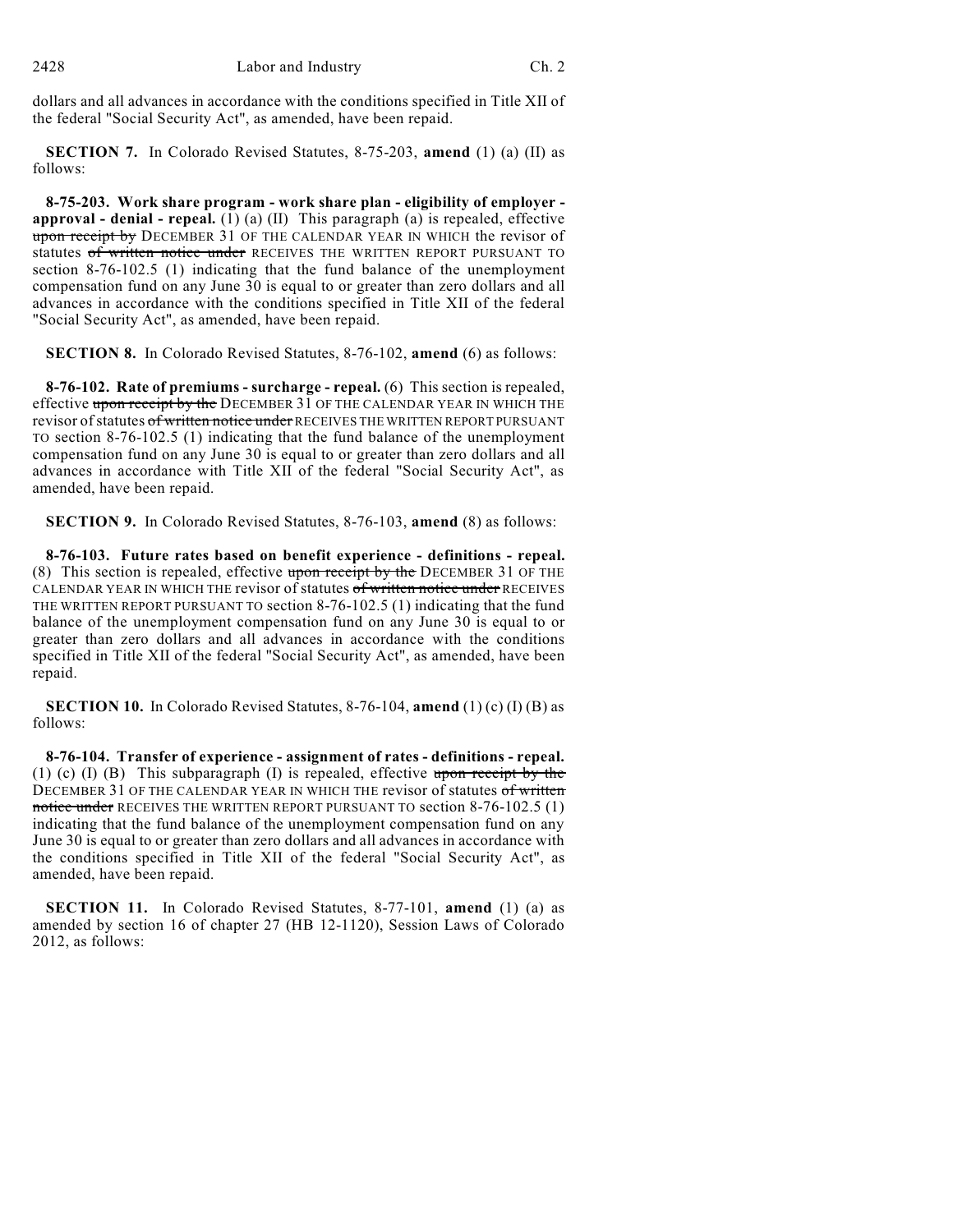dollars and all advances in accordance with the conditions specified in Title XII of the federal "Social Security Act", as amended, have been repaid.

**SECTION 7.** In Colorado Revised Statutes, 8-75-203, **amend** (1) (a) (II) as follows:

**8-75-203. Work share program - work share plan - eligibility of employer approval - denial - repeal.** (1) (a) (II) This paragraph (a) is repealed, effective upon receipt by DECEMBER 31 OF THE CALENDAR YEAR IN WHICH the revisor of statutes of written notice under RECEIVES THE WRITTEN REPORT PURSUANT TO section 8-76-102.5 (1) indicating that the fund balance of the unemployment compensation fund on any June 30 is equal to or greater than zero dollars and all advances in accordance with the conditions specified in Title XII of the federal "Social Security Act", as amended, have been repaid.

**SECTION 8.** In Colorado Revised Statutes, 8-76-102, **amend** (6) as follows:

**8-76-102. Rate of premiums - surcharge - repeal.** (6) This section is repealed, effective upon receipt by the DECEMBER 31 OF THE CALENDAR YEAR IN WHICH THE revisor of statutes of written notice under RECEIVES THE WRITTEN REPORT PURSUANT TO section 8-76-102.5 (1) indicating that the fund balance of the unemployment compensation fund on any June 30 is equal to or greater than zero dollars and all advances in accordance with Title XII of the federal "Social Security Act", as amended, have been repaid.

**SECTION 9.** In Colorado Revised Statutes, 8-76-103, **amend** (8) as follows:

**8-76-103. Future rates based on benefit experience - definitions - repeal.** (8) This section is repealed, effective upon receipt by the DECEMBER 31 OF THE CALENDAR YEAR IN WHICH THE revisor of statutes of written notice under RECEIVES THE WRITTEN REPORT PURSUANT TO section 8-76-102.5 (1) indicating that the fund balance of the unemployment compensation fund on any June 30 is equal to or greater than zero dollars and all advances in accordance with the conditions specified in Title XII of the federal "Social Security Act", as amended, have been repaid.

**SECTION 10.** In Colorado Revised Statutes, 8-76-104, **amend** (1) (c) (I) (B) as follows:

**8-76-104. Transfer of experience - assignment of rates - definitions - repeal.** (1) (c) (I) (B) This subparagraph (I) is repealed, effective upon receipt by the DECEMBER 31 OF THE CALENDAR YEAR IN WHICH THE revisor of statutes of written notice under RECEIVES THE WRITTEN REPORT PURSUANT TO section 8-76-102.5 (1) indicating that the fund balance of the unemployment compensation fund on any June 30 is equal to or greater than zero dollars and all advances in accordance with the conditions specified in Title XII of the federal "Social Security Act", as amended, have been repaid.

**SECTION 11.** In Colorado Revised Statutes, 8-77-101, **amend** (1) (a) as amended by section 16 of chapter 27 (HB 12-1120), Session Laws of Colorado 2012, as follows: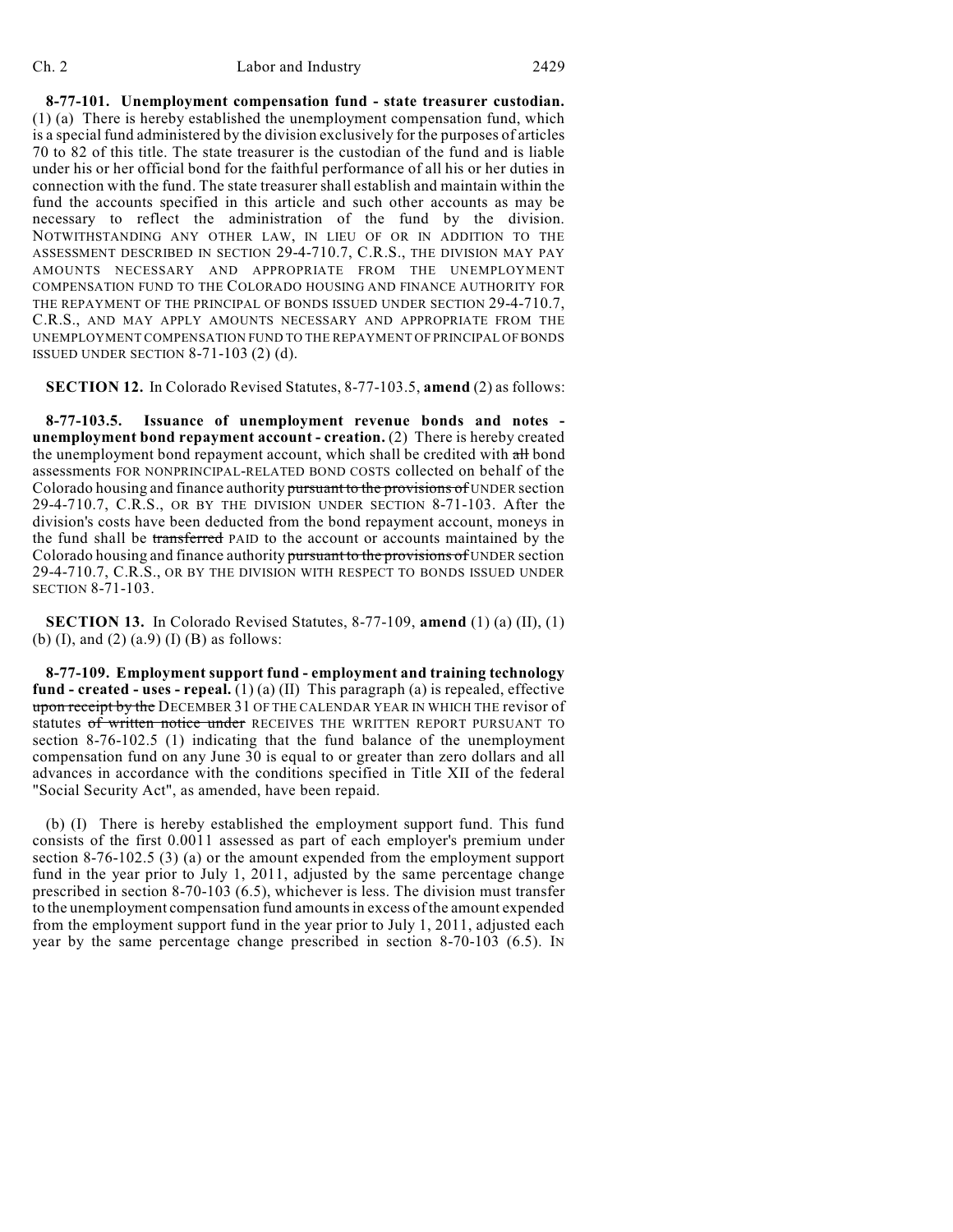**8-77-101. Unemployment compensation fund - state treasurer custodian.** (1) (a) There is hereby established the unemployment compensation fund, which is a special fund administered by the division exclusively for the purposes of articles 70 to 82 of this title. The state treasurer is the custodian of the fund and is liable under his or her official bond for the faithful performance of all his or her duties in connection with the fund. The state treasurer shall establish and maintain within the fund the accounts specified in this article and such other accounts as may be necessary to reflect the administration of the fund by the division. NOTWITHSTANDING ANY OTHER LAW, IN LIEU OF OR IN ADDITION TO THE ASSESSMENT DESCRIBED IN SECTION 29-4-710.7, C.R.S., THE DIVISION MAY PAY AMOUNTS NECESSARY AND APPROPRIATE FROM THE UNEMPLOYMENT COMPENSATION FUND TO THE COLORADO HOUSING AND FINANCE AUTHORITY FOR THE REPAYMENT OF THE PRINCIPAL OF BONDS ISSUED UNDER SECTION 29-4-710.7, C.R.S., AND MAY APPLY AMOUNTS NECESSARY AND APPROPRIATE FROM THE UNEMPLOYMENT COMPENSATION FUND TO THE REPAYMENT OF PRINCIPAL OF BONDS ISSUED UNDER SECTION  $8-71-103$  (2) (d).

**SECTION 12.** In Colorado Revised Statutes, 8-77-103.5, **amend** (2) as follows:

**8-77-103.5. Issuance of unemployment revenue bonds and notes unemployment bond repayment account - creation.** (2) There is hereby created the unemployment bond repayment account, which shall be credited with all bond assessments FOR NONPRINCIPAL-RELATED BOND COSTS collected on behalf of the Colorado housing and finance authority pursuant to the provisions of UNDER section 29-4-710.7, C.R.S., OR BY THE DIVISION UNDER SECTION 8-71-103. After the division's costs have been deducted from the bond repayment account, moneys in the fund shall be transferred PAID to the account or accounts maintained by the Colorado housing and finance authority pursuant to the provisions of UNDER section 29-4-710.7, C.R.S., OR BY THE DIVISION WITH RESPECT TO BONDS ISSUED UNDER SECTION 8-71-103.

**SECTION 13.** In Colorado Revised Statutes, 8-77-109, **amend** (1) (a) (II), (1) (b) (I), and (2) (a.9) (I) (B) as follows:

**8-77-109. Employment support fund - employment and training technology fund - created - uses - repeal.** (1) (a) (II) This paragraph (a) is repealed, effective upon receipt by the DECEMBER 31 OF THE CALENDAR YEAR IN WHICH THE revisor of statutes of written notice under RECEIVES THE WRITTEN REPORT PURSUANT TO section 8-76-102.5 (1) indicating that the fund balance of the unemployment compensation fund on any June 30 is equal to or greater than zero dollars and all advances in accordance with the conditions specified in Title XII of the federal "Social Security Act", as amended, have been repaid.

(b) (I) There is hereby established the employment support fund. This fund consists of the first 0.0011 assessed as part of each employer's premium under section 8-76-102.5 (3) (a) or the amount expended from the employment support fund in the year prior to July 1, 2011, adjusted by the same percentage change prescribed in section 8-70-103 (6.5), whichever is less. The division must transfer to the unemployment compensation fund amountsin excess of the amount expended from the employment support fund in the year prior to July 1, 2011, adjusted each year by the same percentage change prescribed in section 8-70-103 (6.5). IN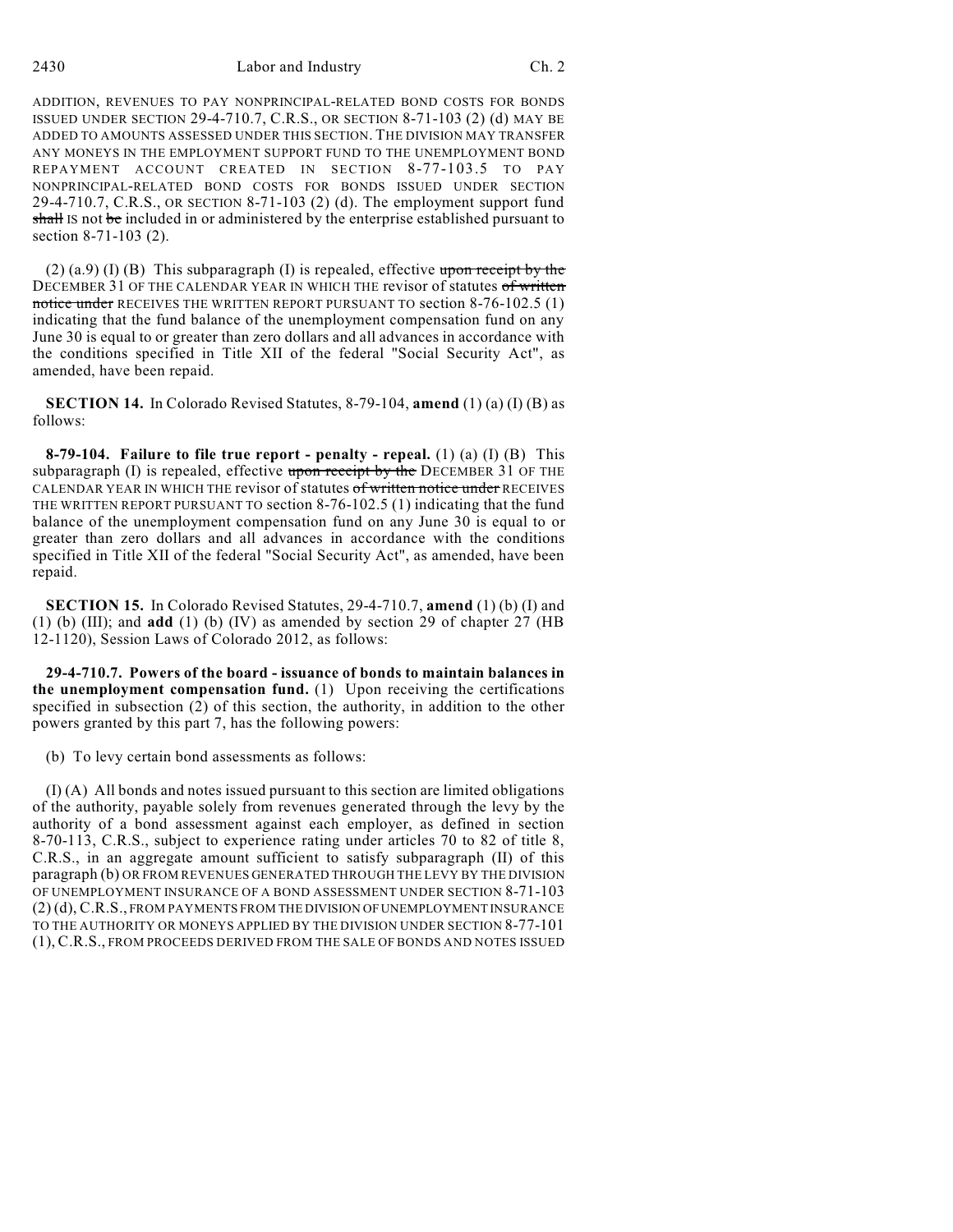2430 Labor and Industry Ch. 2

ADDITION, REVENUES TO PAY NONPRINCIPAL-RELATED BOND COSTS FOR BONDS ISSUED UNDER SECTION 29-4-710.7, C.R.S., OR SECTION 8-71-103 (2) (d) MAY BE ADDED TO AMOUNTS ASSESSED UNDER THIS SECTION. THE DIVISION MAY TRANSFER ANY MONEYS IN THE EMPLOYMENT SUPPORT FUND TO THE UNEMPLOYMENT BOND REPAYMENT ACCOUNT CREATED IN SECTION 8-77-103.5 TO PAY NONPRINCIPAL-RELATED BOND COSTS FOR BONDS ISSUED UNDER SECTION 29-4-710.7, C.R.S., OR SECTION 8-71-103 (2) (d). The employment support fund shall IS not be included in or administered by the enterprise established pursuant to section 8-71-103 (2).

(2) (a.9) (I) (B) This subparagraph (I) is repealed, effective upon receipt by the DECEMBER 31 OF THE CALENDAR YEAR IN WHICH THE revisor of statutes of written notice under RECEIVES THE WRITTEN REPORT PURSUANT TO section 8-76-102.5 (1) indicating that the fund balance of the unemployment compensation fund on any June 30 is equal to or greater than zero dollars and all advances in accordance with the conditions specified in Title XII of the federal "Social Security Act", as amended, have been repaid.

**SECTION 14.** In Colorado Revised Statutes, 8-79-104, **amend** (1) (a) (I) (B) as follows:

**8-79-104. Failure to file true report - penalty - repeal.** (1) (a) (I) (B) This subparagraph (I) is repealed, effective  $\frac{1}{2}$  and  $\frac{1}{2}$  by the DECEMBER 31 OF THE CALENDAR YEAR IN WHICH THE revisor of statutes of written notice under RECEIVES THE WRITTEN REPORT PURSUANT TO section 8-76-102.5 (1) indicating that the fund balance of the unemployment compensation fund on any June 30 is equal to or greater than zero dollars and all advances in accordance with the conditions specified in Title XII of the federal "Social Security Act", as amended, have been repaid.

**SECTION 15.** In Colorado Revised Statutes, 29-4-710.7, **amend** (1) (b) (I) and (1) (b) (III); and **add** (1) (b) (IV) as amended by section 29 of chapter 27 (HB 12-1120), Session Laws of Colorado 2012, as follows:

**29-4-710.7. Powers of the board - issuance of bonds to maintain balances in the unemployment compensation fund.** (1) Upon receiving the certifications specified in subsection (2) of this section, the authority, in addition to the other powers granted by this part 7, has the following powers:

(b) To levy certain bond assessments as follows:

(I) (A) All bonds and notes issued pursuant to this section are limited obligations of the authority, payable solely from revenues generated through the levy by the authority of a bond assessment against each employer, as defined in section 8-70-113, C.R.S., subject to experience rating under articles 70 to 82 of title 8, C.R.S., in an aggregate amount sufficient to satisfy subparagraph (II) of this paragraph (b) OR FROM REVENUES GENERATED THROUGH THE LEVY BY THE DIVISION OF UNEMPLOYMENT INSURANCE OF A BOND ASSESSMENT UNDER SECTION 8-71-103 (2) (d), C.R.S., FROM PAYMENTS FROM THE DIVISION OFUNEMPLOYMENT INSURANCE TO THE AUTHORITY OR MONEYS APPLIED BY THE DIVISION UNDER SECTION 8-77-101 (1), C.R.S., FROM PROCEEDS DERIVED FROM THE SALE OF BONDS AND NOTES ISSUED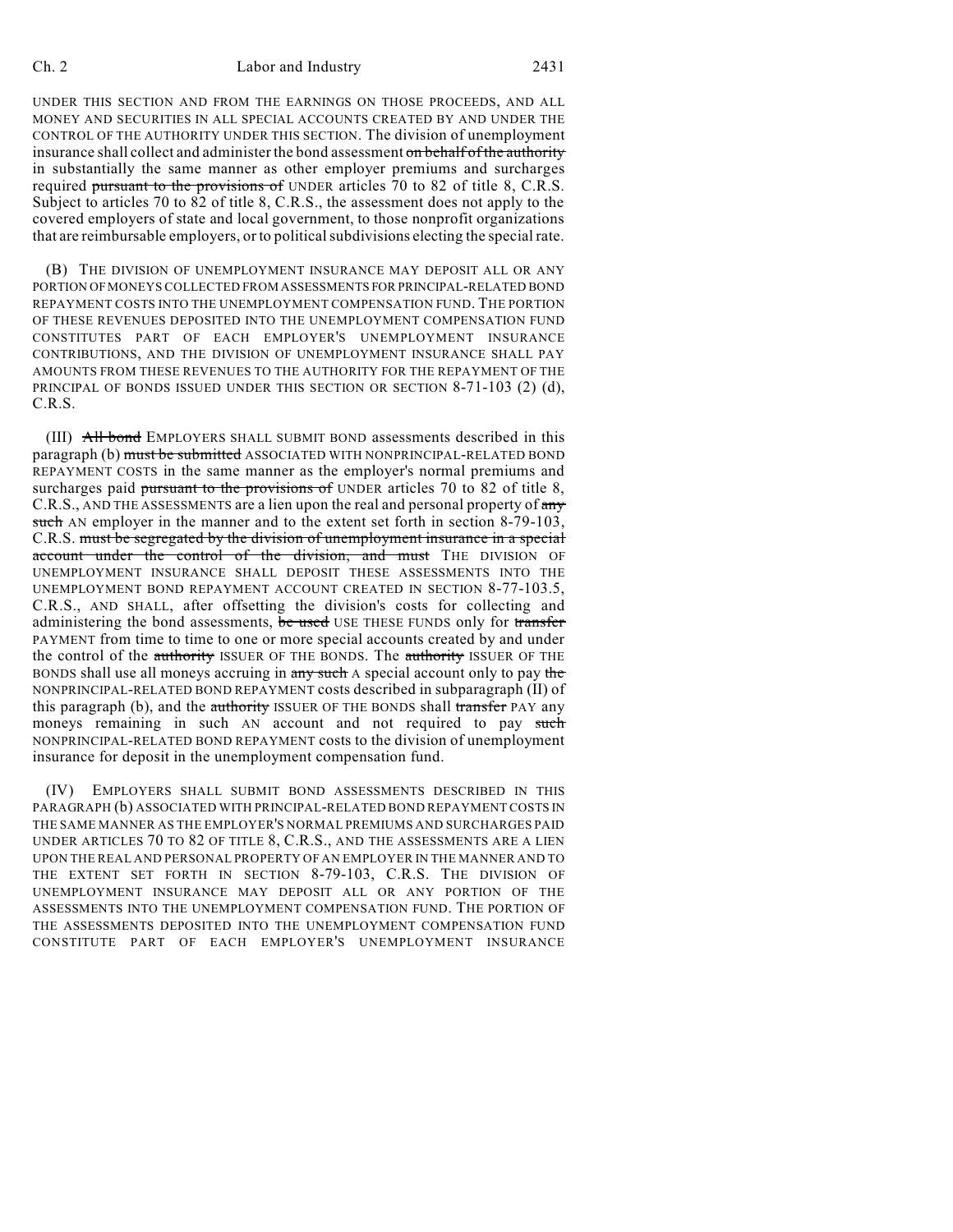### Ch. 2 Labor and Industry 2431

UNDER THIS SECTION AND FROM THE EARNINGS ON THOSE PROCEEDS, AND ALL MONEY AND SECURITIES IN ALL SPECIAL ACCOUNTS CREATED BY AND UNDER THE CONTROL OF THE AUTHORITY UNDER THIS SECTION. The division of unemployment insurance shall collect and administer the bond assessment on behalf of the authority in substantially the same manner as other employer premiums and surcharges required pursuant to the provisions of UNDER articles 70 to 82 of title 8, C.R.S. Subject to articles 70 to 82 of title 8, C.R.S., the assessment does not apply to the covered employers of state and local government, to those nonprofit organizations that are reimbursable employers, or to political subdivisions electing the special rate.

(B) THE DIVISION OF UNEMPLOYMENT INSURANCE MAY DEPOSIT ALL OR ANY PORTION OFMONEYS COLLECTED FROM ASSESSMENTS FOR PRINCIPAL-RELATED BOND REPAYMENT COSTS INTO THE UNEMPLOYMENT COMPENSATION FUND. THE PORTION OF THESE REVENUES DEPOSITED INTO THE UNEMPLOYMENT COMPENSATION FUND CONSTITUTES PART OF EACH EMPLOYER'S UNEMPLOYMENT INSURANCE CONTRIBUTIONS, AND THE DIVISION OF UNEMPLOYMENT INSURANCE SHALL PAY AMOUNTS FROM THESE REVENUES TO THE AUTHORITY FOR THE REPAYMENT OF THE PRINCIPAL OF BONDS ISSUED UNDER THIS SECTION OR SECTION 8-71-103 (2) (d), C.R.S.

(III) All bond EMPLOYERS SHALL SUBMIT BOND assessments described in this paragraph (b) must be submitted ASSOCIATED WITH NONPRINCIPAL-RELATED BOND REPAYMENT COSTS in the same manner as the employer's normal premiums and surcharges paid pursuant to the provisions of UNDER articles 70 to 82 of title 8, C.R.S., AND THE ASSESSMENTS are a lien upon the real and personal property of any such AN employer in the manner and to the extent set forth in section 8-79-103, C.R.S. must be segregated by the division of unemployment insurance in a special account under the control of the division, and must THE DIVISION OF UNEMPLOYMENT INSURANCE SHALL DEPOSIT THESE ASSESSMENTS INTO THE UNEMPLOYMENT BOND REPAYMENT ACCOUNT CREATED IN SECTION 8-77-103.5, C.R.S., AND SHALL, after offsetting the division's costs for collecting and administering the bond assessments, be used USE THESE FUNDS only for transfer PAYMENT from time to time to one or more special accounts created by and under the control of the authority ISSUER OF THE BONDS. The authority ISSUER OF THE BONDS shall use all moneys accruing in any such A special account only to pay the NONPRINCIPAL-RELATED BOND REPAYMENT costs described in subparagraph (II) of this paragraph (b), and the authority ISSUER OF THE BONDS shall transfer PAY any moneys remaining in such AN account and not required to pay such NONPRINCIPAL-RELATED BOND REPAYMENT costs to the division of unemployment insurance for deposit in the unemployment compensation fund.

(IV) EMPLOYERS SHALL SUBMIT BOND ASSESSMENTS DESCRIBED IN THIS PARAGRAPH (b) ASSOCIATED WITH PRINCIPAL-RELATED BOND REPAYMENT COSTS IN THE SAME MANNER AS THE EMPLOYER'S NORMAL PREMIUMS AND SURCHARGES PAID UNDER ARTICLES 70 TO 82 OF TITLE 8, C.R.S., AND THE ASSESSMENTS ARE A LIEN UPON THE REAL AND PERSONAL PROPERTY OF AN EMPLOYER IN THE MANNER AND TO THE EXTENT SET FORTH IN SECTION 8-79-103, C.R.S. THE DIVISION OF UNEMPLOYMENT INSURANCE MAY DEPOSIT ALL OR ANY PORTION OF THE ASSESSMENTS INTO THE UNEMPLOYMENT COMPENSATION FUND. THE PORTION OF THE ASSESSMENTS DEPOSITED INTO THE UNEMPLOYMENT COMPENSATION FUND CONSTITUTE PART OF EACH EMPLOYER'S UNEMPLOYMENT INSURANCE